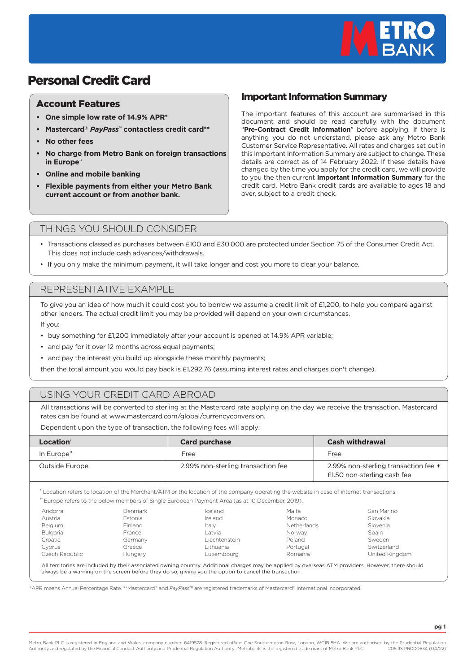

# Personal Credit Card

#### Account Features

- **One simple low rate of 14.9% APR\***
- **Mastercard®** *PayPass***™ contactless credit card\*\***
- **No other fees**
- **No charge from Metro Bank on foreign transactions in Europe††**
- **Online and mobile banking**
- **Flexible payments from either your Metro Bank current account or from another bank.**

### Important Information Summary

The important features of this account are summarised in this document and should be read carefully with the document "**Pre-Contract Credit Information**" before applying. If there is anything you do not understand, please ask any Metro Bank Customer Service Representative. All rates and charges set out in this Important Information Summary are subject to change. These details are correct as of 14 February 2022. If these details have changed by the time you apply for the credit card, we will provide to you the then current **Important Information Summary** for the credit card. Metro Bank credit cards are available to ages 18 and over, subject to a credit check.

#### THINGS YOU SHOULD CONSIDER

- Transactions classed as purchases between £100 and £30,000 are protected under Section 75 of the Consumer Credit Act. This does not include cash advances/withdrawals.
- If you only make the minimum payment, it will take longer and cost you more to clear your balance.

#### REPRESENTATIVE EXAMPLE

To give you an idea of how much it could cost you to borrow we assume a credit limit of £1,200, to help you compare against other lenders. The actual credit limit you may be provided will depend on your own circumstances.

If you:

- buy something for £1,200 immediately after your account is opened at 14.9% APR variable;
- and pay for it over 12 months across equal payments;
- and pay the interest you build up alongside these monthly payments;

then the total amount you would pay back is £1,292.76 (assuming interest rates and charges don't change).

## USING YOUR CREDIT CARD ABROAD

All transactions will be converted to sterling at the Mastercard rate applying on the day we receive the transaction. Mastercard rates can be found at www.mastercard.com/global/currencyconversion.

Dependent upon the type of transaction, the following fees will apply:

| Location <sup>®</sup>   | <b>Card purchase</b>               | <b>Cash withdrawal</b>                                              |
|-------------------------|------------------------------------|---------------------------------------------------------------------|
| In Europe <sup>**</sup> | Free                               | Free                                                                |
| Outside Europe          | 2.99% non-sterling transaction fee | 2.99% non-sterling transaction fee +<br>£1.50 non-sterling cash fee |

† Location refers to location of the Merchant/ATM or the location of the company operating the website in case of internet transactions.

†† Europe refers to the below members of Single European Payment Area (as at 10 December, 2019).

| Andorra         | Denmark        | Iceland       | Malta       | San Marino     |
|-----------------|----------------|---------------|-------------|----------------|
| Austria         | Estonia        | Ireland       | Monaco      | Slovakia       |
| <b>Belaium</b>  | <b>Finland</b> | Italy         | Netherlands | Slovenia       |
| <b>Bulgaria</b> | France         | Latvia        | Norway      | Spain          |
| Croatia         | Germany        | Liechtenstein | Poland      | Sweden         |
| <b>Cyprus</b>   | Greece         | Lithuania     | Portugal    | Switzerland    |
| Czech Republic  | Hungary        | Luxembourg    | Romania     | United Kingdom |

All territories are included by their associated owning country. Additional charges may be applied by overseas ATM providers. However, there should always be a warning on the screen before they do so, giving you the option to cancel the transaction.

\*APR means Annual Percentage Rate. \*\*Mastercard® and *PayPass*™ are registered trademarks of Mastercard® International Incorporated.